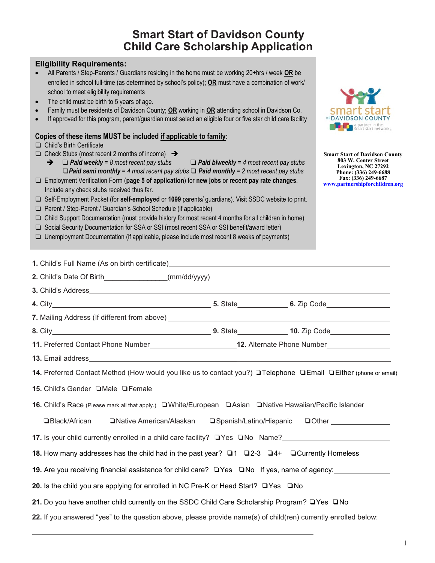# **Smart Start of Davidson County Child Care Scholarship Application**

| <b>Eligibility Requirements:</b><br>All Parents / Step-Parents / Guardians residing in the home must be working 20+hrs / week OR be<br>enrolled in school full-time (as determined by school's policy); OR must have a combination of work/<br>school to meet eligibility requirements<br>The child must be birth to 5 years of age.<br>$\bullet$<br>Family must be residents of Davidson County; OR working in OR attending school in Davidson Co.<br>$\bullet$<br>If approved for this program, parent/guardian must select an eligible four or five star child care facility<br>Copies of these items MUST be included if applicable to family:                                                                                                                                                                                                                                                                                                               |                          | smart sta<br>OF DAVIDSON COUNT<br>a partner in the                                                                                                                     |
|------------------------------------------------------------------------------------------------------------------------------------------------------------------------------------------------------------------------------------------------------------------------------------------------------------------------------------------------------------------------------------------------------------------------------------------------------------------------------------------------------------------------------------------------------------------------------------------------------------------------------------------------------------------------------------------------------------------------------------------------------------------------------------------------------------------------------------------------------------------------------------------------------------------------------------------------------------------|--------------------------|------------------------------------------------------------------------------------------------------------------------------------------------------------------------|
| Child's Birth Certificate<br>Check Stubs (most recent 2 months of income) $\rightarrow$<br>$\rightarrow$ $\Box$ Paid weekly = 8 most recent pay stubs $\Box$ Paid biweekly = 4 most recent pay stubs<br>$\Box$ Paid semi monthly = 4 most recent pay stubs $\Box$ Paid monthly = 2 most recent pay stubs<br>$\Box$ Employment Verification Form (page 5 of application) for new jobs or recent pay rate changes.<br>Include any check stubs received thus far.<br>□ Self-Employment Packet (for self-employed or 1099 parents/ guardians). Visit SSDC website to print.<br>□ Parent / Step-Parent / Guardian's School Schedule (if applicable)<br>Child Support Documentation (must provide history for most recent 4 months for all children in home)<br>□<br>□ Social Security Documentation for SSA or SSI (most recent SSA or SSI benefit/award letter)<br>$\Box$ Unemployment Documentation (if applicable, please include most recent 8 weeks of payments) |                          | <b>Smart Start of Davidson County</b><br>803 W. Center Street<br>Lexington, NC 27292<br>Phone: (336) 249-6688<br>Fax: (336) 249-6687<br>www.partnershipforchildren.org |
| 1. Child's Full Name (As on birth certificate) <b>Example 2.1 August 2.1 August 2.1 August</b> 2.1 August 2.1 August 2.1 August 2.1 August 2.1 August 2.1 August 2.1 August 2.1 August 2.1 August 2.1 August 2.1 August 2.1 August                                                                                                                                                                                                                                                                                                                                                                                                                                                                                                                                                                                                                                                                                                                               |                          |                                                                                                                                                                        |
| 2. Child's Date Of Birth________________(mm/dd/yyyy)                                                                                                                                                                                                                                                                                                                                                                                                                                                                                                                                                                                                                                                                                                                                                                                                                                                                                                             |                          |                                                                                                                                                                        |
|                                                                                                                                                                                                                                                                                                                                                                                                                                                                                                                                                                                                                                                                                                                                                                                                                                                                                                                                                                  |                          |                                                                                                                                                                        |
|                                                                                                                                                                                                                                                                                                                                                                                                                                                                                                                                                                                                                                                                                                                                                                                                                                                                                                                                                                  |                          |                                                                                                                                                                        |
|                                                                                                                                                                                                                                                                                                                                                                                                                                                                                                                                                                                                                                                                                                                                                                                                                                                                                                                                                                  |                          |                                                                                                                                                                        |
|                                                                                                                                                                                                                                                                                                                                                                                                                                                                                                                                                                                                                                                                                                                                                                                                                                                                                                                                                                  |                          |                                                                                                                                                                        |
| 11. Preferred Contact Phone Number______________________________12. Alternate Phone Number________________                                                                                                                                                                                                                                                                                                                                                                                                                                                                                                                                                                                                                                                                                                                                                                                                                                                       |                          |                                                                                                                                                                        |
| <b>13.</b> Email address <b>the contract of the contract of the contract of the contract of the contract of the contract of the contract of the contract of the contract of the contract of the contract of the contract of the contr</b>                                                                                                                                                                                                                                                                                                                                                                                                                                                                                                                                                                                                                                                                                                                        |                          |                                                                                                                                                                        |
| 14. Preferred Contact Method (How would you like us to contact you?) QTelephone QEmail QEither (phone or email)                                                                                                                                                                                                                                                                                                                                                                                                                                                                                                                                                                                                                                                                                                                                                                                                                                                  |                          |                                                                                                                                                                        |
| 15. Child's Gender □ Male □ Female                                                                                                                                                                                                                                                                                                                                                                                                                                                                                                                                                                                                                                                                                                                                                                                                                                                                                                                               |                          |                                                                                                                                                                        |
| <b>16.</b> Child's Race (Please mark all that apply.) □ White/European □ Asian □ Native Hawaiian/Pacific Islander                                                                                                                                                                                                                                                                                                                                                                                                                                                                                                                                                                                                                                                                                                                                                                                                                                                |                          |                                                                                                                                                                        |
| □ Black/African<br>□ Native American/Alaskan                                                                                                                                                                                                                                                                                                                                                                                                                                                                                                                                                                                                                                                                                                                                                                                                                                                                                                                     | □Spanish/Latino/Hispanic | $\Box$ Other $\Box$                                                                                                                                                    |
| 17. Is your child currently enrolled in a child care facility? U Yes UNo Name?                                                                                                                                                                                                                                                                                                                                                                                                                                                                                                                                                                                                                                                                                                                                                                                                                                                                                   |                          |                                                                                                                                                                        |
| 18. How many addresses has the child had in the past year? □1 □2-3 □4+ □Currently Homeless                                                                                                                                                                                                                                                                                                                                                                                                                                                                                                                                                                                                                                                                                                                                                                                                                                                                       |                          |                                                                                                                                                                        |
| <b>19.</b> Are you receiving financial assistance for child care?  ❑Yes ❑No If yes, name of agency:_________________                                                                                                                                                                                                                                                                                                                                                                                                                                                                                                                                                                                                                                                                                                                                                                                                                                             |                          |                                                                                                                                                                        |
| 20. Is the child you are applying for enrolled in NC Pre-K or Head Start? □ Yes □ No                                                                                                                                                                                                                                                                                                                                                                                                                                                                                                                                                                                                                                                                                                                                                                                                                                                                             |                          |                                                                                                                                                                        |
| 21. Do you have another child currently on the SSDC Child Care Scholarship Program? □ Yes □ No                                                                                                                                                                                                                                                                                                                                                                                                                                                                                                                                                                                                                                                                                                                                                                                                                                                                   |                          |                                                                                                                                                                        |
| 22. If you answered "yes" to the question above, please provide name(s) of child(ren) currently enrolled below:                                                                                                                                                                                                                                                                                                                                                                                                                                                                                                                                                                                                                                                                                                                                                                                                                                                  |                          |                                                                                                                                                                        |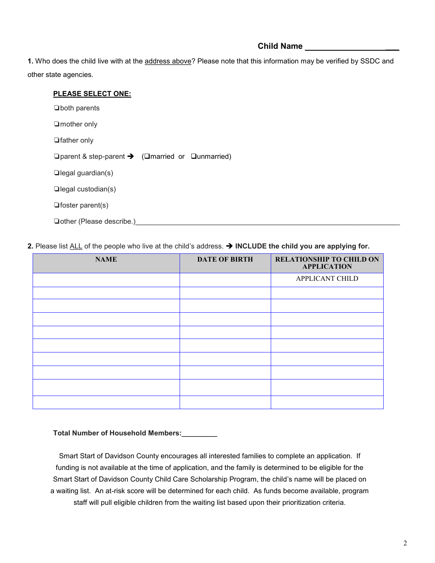# **Child Name \_\_\_**

**1.** Who does the child live with at the address above? Please note that this information may be verified by SSDC and other state agencies.

| <b>PLEASE SELECT ONE:</b>                                                       |
|---------------------------------------------------------------------------------|
| $\Box$ both parents                                                             |
| $\Box$ mother only                                                              |
| <b>□</b> father only                                                            |
| $\Box$ parent & step-parent $\rightarrow$ ( $\Box$ married or $\Box$ unmarried) |
| $\Box$ legal guardian(s)                                                        |
| $\Box$ legal custodian(s)                                                       |
| $\Box$ foster parent(s)                                                         |
| □ other (Please describe.)                                                      |
|                                                                                 |

**2.** Please list ALL of the people who live at the child's address. ➔ **INCLUDE the child you are applying for.**

| <b>NAME</b> | <b>DATE OF BIRTH</b> | <b>RELATIONSHIP TO CHILD ON</b><br><b>APPLICATION</b> |
|-------------|----------------------|-------------------------------------------------------|
|             |                      | <b>APPLICANT CHILD</b>                                |
|             |                      |                                                       |
|             |                      |                                                       |
|             |                      |                                                       |
|             |                      |                                                       |
|             |                      |                                                       |
|             |                      |                                                       |
|             |                      |                                                       |
|             |                      |                                                       |
|             |                      |                                                       |

#### **Total Number of Household Members:\_\_\_\_\_\_\_\_\_**

Smart Start of Davidson County encourages all interested families to complete an application. If funding is not available at the time of application, and the family is determined to be eligible for the Smart Start of Davidson County Child Care Scholarship Program, the child's name will be placed on a waiting list. An at-risk score will be determined for each child. As funds become available, program staff will pull eligible children from the waiting list based upon their prioritization criteria.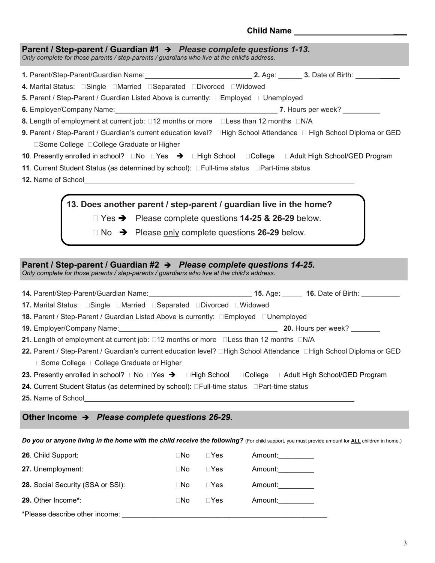# **Child Name \_\_\_**

| Parent / Step-parent / Guardian #1 $\rightarrow$ Please complete questions 1-13.<br>Only complete for those parents / step-parents / guardians who live at the child's address. |  |
|---------------------------------------------------------------------------------------------------------------------------------------------------------------------------------|--|
| 1. Parent/Step-Parent/Guardian Name: 1. 1997) 2. Age: 2. Age: 2. Date of Birth: 1. 1. 1. 1. 1. 1. 1. 1. 1. 1. 1                                                                 |  |
|                                                                                                                                                                                 |  |
| 5. Parent / Step-Parent / Guardian Listed Above is currently: □Employed □Unemployed                                                                                             |  |
|                                                                                                                                                                                 |  |
| 8. Length of employment at current job: □12 months or more □Less than 12 months □N/A                                                                                            |  |
| 9. Parent / Step-Parent / Guardian's current education level? □High School Attendance □ High School Diploma or GED<br>□Some College □College Graduate or Higher                 |  |
|                                                                                                                                                                                 |  |
| 11. Current Student Status (as determined by school): DFull-time status DPart-time status                                                                                       |  |
|                                                                                                                                                                                 |  |
| 13. Does another parent / step-parent / guardian live in the home?<br>$\Box$ Yes $\rightarrow$ Please complete questions 14-25 & 26-29 below.                                   |  |

❏ No ➔ Please only complete questions **26-29** below.

# **Parent / Step-parent / Guardian #2** ➔ *Please complete questions 14-25.*

*Only complete for those parents / step-parents / guardians who live at the child's address.* 

| 14. Parent/Step-Parent/Guardian Name:___________________________15. Age: ______ 16. Date of Birth: __________                                                                                                                            |  |
|------------------------------------------------------------------------------------------------------------------------------------------------------------------------------------------------------------------------------------------|--|
| 17. Marital Status: Single Married Separated Divorced DWidowed                                                                                                                                                                           |  |
| <b>18.</b> Parent / Step-Parent / Guardian Listed Above is currently: □Employed □Unemployed                                                                                                                                              |  |
|                                                                                                                                                                                                                                          |  |
| 21. Length of employment at current job: □12 months or more □Less than 12 months □N/A                                                                                                                                                    |  |
| 22. Parent / Step-Parent / Guardian's current education level? □High School Attendance □High School Diploma or GED                                                                                                                       |  |
| □Some College □College Graduate or Higher                                                                                                                                                                                                |  |
| 23. Presently enrolled in school? □No □Yes → □High School □College □Adult High School/GED Program                                                                                                                                        |  |
| 24. Current Student Status (as determined by school): □Full-time status □Part-time status                                                                                                                                                |  |
| <b>25.</b> Name of School <b>Example 20</b> No. 1 20 No. 1 20 No. 1 20 No. 1 20 No. 1 20 No. 1 20 No. 1 20 No. 1 20 No. 1 20 No. 1 20 No. 1 20 No. 1 20 No. 1 20 No. 1 20 No. 1 20 No. 1 20 No. 1 20 No. 1 20 No. 1 20 No. 1 20 No. 1 20 |  |
|                                                                                                                                                                                                                                          |  |
| Other Income $\rightarrow$ Please complete questions 26-29.                                                                                                                                                                              |  |

**Do you or anyone living in the home with the child receive the following?** (For child support, you must provide amount for **ALL** children in home.)

| 26. Child Support:                | $\Box$ No | $\sqcap$ Yes | Amount: |
|-----------------------------------|-----------|--------------|---------|
| 27. Unemployment:                 | $\Box$ No | $\sqcap$ Yes | Amount: |
| 28. Social Security (SSA or SSI): | $\Box$ No | $\sqcap$ Yes | Amount: |
| 29. Other Income*:                | $\Box$ No | $\sqcap$ Yes | Amount: |
| *Please describe other income:    |           |              |         |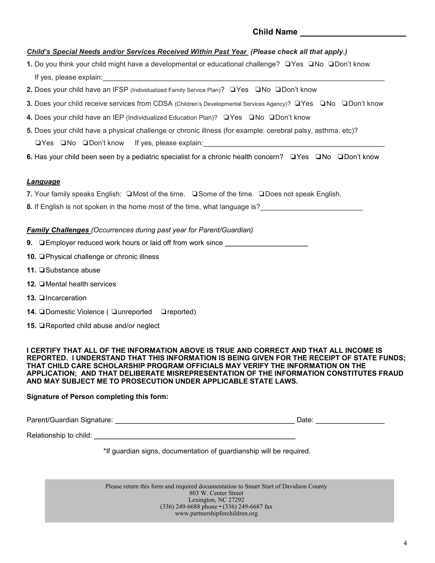# **Child Name**

### *Child's Special Needs and/or Services Received Within Past Year (Please check all that apply.)*

- **1.** Do you think your child might have a developmental or educational challenge? ❏Yes ❏No ❏Don't know If yes, please explain:
- **2.** Does your child have an IFSP (Individualized Family Service Plan)? ❏Yes ❏No ❏Don't know
- **3.** Does your child receive services from CDSA (Children's Developmental Services Agency)? ❏Yes ❏No ❏Don't know
- **4.** Does your child have an IEP (Individualized Education Plan)? ❏Yes ❏No ❏Don't know
- **5.** Does your child have a physical challenge or chronic illness (for example: cerebral palsy, asthma, etc)? ❏Yes ❏No ❏Don't know If yes, please explain:
- **6.** Has your child been seen by a pediatric specialist for a chronic health concern? ❏Yes ❏No ❏Don't know

#### *Language*

- **7.** Your family speaks English: ❏Most of the time. ❏Some of the time. ❏Does not speak English.
- **8.** If English is not spoken in the home most of the time, what language is?

#### *Family Challenges (Occurrences during past year for Parent/Guardian)*

- **9.** □Employer reduced work hours or laid off from work since \_\_\_\_\_\_\_\_\_\_\_\_\_\_\_\_\_\_
- **10.** ❏Physical challenge or chronic illness
- **11.** ❏Substance abuse
- **12.** □Mental health services
- **13.** ❏Incarceration
- **14. □Domestic Violence ( □unreported □reported)**
- **15.** ❏Reported child abuse and/or neglect

#### **I CERTIFY THAT ALL OF THE INFORMATION ABOVE IS TRUE AND CORRECT AND THAT ALL INCOME IS REPORTED. I UNDERSTAND THAT THIS INFORMATION IS BEING GIVEN FOR THE RECEIPT OF STATE FUNDS; THAT CHILD CARE SCHOLARSHIP PROGRAM OFFICIALS MAY VERIFY THE INFORMATION ON THE APPLICATION; AND THAT DELIBERATE MISREPRESENTATION OF THE INFORMATION CONSTITUTES FRAUD AND MAY SUBJECT ME TO PROSECUTION UNDER APPLICABLE STATE LAWS.**

#### **Signature of Person completing this form:**

| Parent/Guardian Signature:<br>Date |  |
|------------------------------------|--|
|------------------------------------|--|

Relationship to child:

\*If guardian signs, documentation of guardianship will be required.

Please return this form and required documentation to Smart Start of Davidson County 803 W. Center Street Lexington, NC 27292 (336) 249-6688 phone • (336) 249-6687 fax www.partnershipforchildren.org